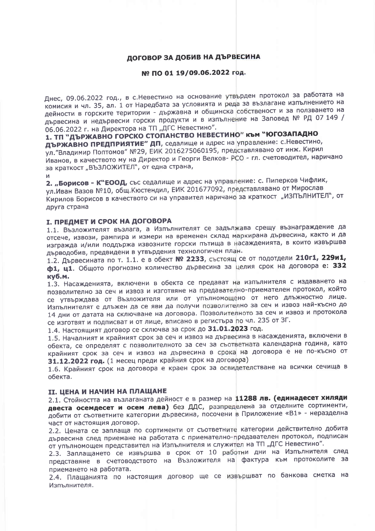# ДОГОВОР ЗА ДОБИВ НА ДЪРВЕСИНА

#### № ПО 01 19/09.06.2022 год.

Днес, 09.06.2022 год., в с. Невестино на основание утвърден протокол за работата на комисия и чл. 35, ал. 1 от Наредбата за условията и реда за възлагане изпълнението на дейности в горските територии - държавна и общинска собственост и за ползването на дървесина и недървесни горски продукти и в изпълнение на Заповед № РД 07 149 / 06.06.2022 г. на Директора на ТП "ДГС Невестино".

1. ТП "ДЪРЖАВНО ГОРСКО СТОПАНСТВО НЕВЕСТИНО" КЪМ "ЮГОЗАПАДНО ДЪРЖАВНО ПРЕДПРИЯТИЕ" ДП, седалище и адрес на управление: с. Невестино, ул. "Владимир Поптомов" №29, ЕИК 2016275060195, представлявано от инж. Кирил Иванов, в качеството му на Директор и Георги Велков-РСО - гл. счетоводител, наричано за краткост "ВЪЗЛОЖИТЕЛ", от една страна,

И

2. "Борисов - К"ЕООД, със седалище и адрес на управление: с. Пиперков Чифлик, ул. Иван Вазов №10, общ. Кюстендил, ЕИК 201677092, представлявано от Мирослав Кирилов Борисов в качеството си на управител наричано за краткост "ИЗПЪЛНИТЕЛ", от друга страна

# **I. ПРЕДМЕТ И СРОК НА ДОГОВОРА**

1.1. Възложителят възлага, а Изпълнителят се задължава срещу възнаграждение да отсече, извози, рампира и измери на временен склад маркирана дървесина, както и да изгражда и/или поддържа извозните горски пътища в насажденията, в които извършва дърводобив, предвидени в утвърдения технологичен план.

1.2. Дървесината по т. 1.1. е в обект № 2233, състоящ се от подотдели 210г1, 229и1, ф1, ц1. Общото прогнозно количество дървесина за целия срок на договора е: 332 к**vб.м.** 

1.3. Насажденията, включени в обекта се предават на изпълнителя с издаването на позволително за сеч и извоз и изготвяне на предавателно-приемателен протокол, който се утвърждава от Възложителя или от упълномощено от него длъжностно лице. Изпълнителят е длъжен да се яви да получи позволително за сеч и извоз най-късно до 14 дни от датата на сключване на договора. Позволителното за сеч и извоз и протокола се изготвят и подписват и от лице, вписано в регистъра по чл. 235 от ЗГ.

1.4. Настоящият договор се сключва за срок до 31.01.2023 год.

1.5. Началният и крайният срок за сеч и извоз на дървесина в насажденията, включени в обекта, се определят с позволителното за сеч за съответната календарна година, като крайният срок за сеч и извоз на дървесина в срока на договора е не по-късно от 31.12.2022 год. (1 месец преди крайния срок на договора)

1.6. Крайният срок на договора е краен срок за освидетелстване на всички сечища в обекта.

#### II. ЦЕНА И НАЧИН НА ПЛАЩАНЕ

2.1. Стойността на възлаганата дейност е в размер на 11288 лв. (единадесет хиляди двеста осемдесет и осем лева) без ДДС, разпределена за отделните сортименти, добити от съответните категории дървесина, посочени в Приложение «В1» - неразделна част от настоящия договор.

2.2. Цената се заплаща по сортименти от съответните категории действително добита дървесина след приемане на работата с приемателно-предавателен протокол, подписан от упълномощен представител на Изпълнителя и служител на ТП "ДГС Невестино".

2.3. Заплащането се извършва в срок от 10 работни дни на Изпълнителя след представяне в счетоводството на Възложителя на фактура към протоколите за приемането на работата.

2.4. Плащанията по настоящия договор ще се извършват по банкова сметка на Изпълнителя.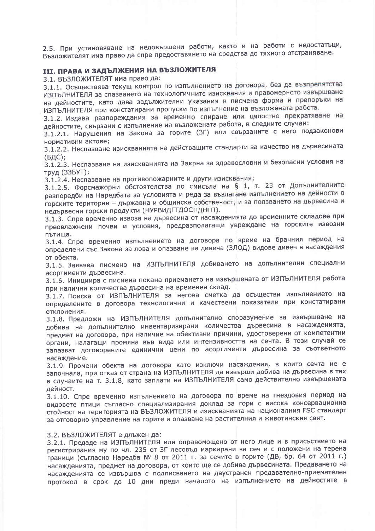2.5. При установяване на недовършени работи, както и на работи с недостатъци, Възложителят има право да спре предоставянето на средства до тяхното отстраняване.

# **III. ПРАВА И ЗАДЪЛЖЕНИЯ НА ВЪЗЛОЖИТЕЛЯ**

3.1. ВЪЗЛОЖИТЕЛЯТ има право да:

3.1.1. Осъществява текущ контрол по изпълнението на договора, без да възпрепятства ИЗПЪЛНИТЕЛЯ за спазването на технологичните изисквания и правомерното извършване на дейностите, като дава задължителни указания в писмена форма и препоръки на ИЗПЪЛНИТЕЛЯ при констатирани пропуски по изпълнение на възложената работа.

3.1.2. Издава разпореждания за временно спиране или цялостно прекратяване на дейностите, свързани с изпълнение на възложената работа, в следните случаи:

3.1.2.1. Нарушения на Закона за горите (ЗГ) или свързаните с него подзаконови нормативни актове;

3.1.2.2. Неспазване изискванията на действащите стандарти за качество на дървесината  $(BAC)$ :

3.1.2.3. Неспазване на изискванията на Закона за здравословни и безопасни условия на труд (33БУТ);

3.1.2.4. Неспазване на противопожарните и други изисквания;

3.1.2.5. Форсмажорни обстоятелства по смисъла на § 1, т. 23 от Допълнителните разпоредби на Наредбата за условията и реда за възлагане изпълнението на дейности в горските територии - държавна и общинска собственост, и за ползването на дървесина и недървесни горски продукти (НУРВИДГТДОСПДНГП).

3.1.3. Спре временно извоза на дървесина от насажденията до временните складове при преовлажнени почви и условия, предразполагащи увреждане на горските извозни пътища.

3.1.4. Спре временно изпълнението на договора по време на брачния период на определени със Закона за лова и опазване на дивеча (ЗЛОД) видове дивеч в насаждения от обекта.

3.1.5. Заявява писмено на ИЗПЪЛНИТЕЛЯ добиването на допълнителни специални асортименти дървесина.

3.1.6. Инициира с писмена покана приемането на извършената от ИЗПЪЛНИТЕЛЯ работа при налични количества дървесина на временен склад.

3.1.7. Поиска от ИЗПЪЛНИТЕЛЯ за негова сметка да осъществи изпълнението на определените в договора технологични и качествени показатели при констатирани отклонения.

3.1.8. Предложи на ИЗПЪЛНИТЕЛЯ допълнително споразумение за извършване на добива на допълнително инвентаризирани количества дървесина в насажденията, предмет на договора, при наличие на обективни причини, удостоверени от компетентни органи, налагащи промяна във вида или интензивността на сечта. В този случай се запазват договорените единични цени по асортименти дървесина за съответното насаждение.

3.1.9. Промени обекта на договора като изключи насаждения, в които сечта не е започнала, при отказ от страна на ИЗПЪЛНИТЕЛЯ да извърши добива на дървесина в тях в случаите на т. 3.1.8, като заплати на ИЗПЪЛНИТЕЛЯ само действително извършената дейност.

3.1.10. Спре временно изпълнението на договора по време на гнездовия период на видовете птици съгласно специализирания доклад за гори с висока консервационна стойност на територията на ВЪЗЛОЖИТЕЛЯ и изискванията на националния FSC стандарт за отговорно управление на горите и опазване на растителния и животинския свят.

#### 3.2. ВЪЗЛОЖИТЕЛЯТ е длъжен да:

3.2.1. Предаде на ИЗПЪЛНИТЕЛЯ или оправомощено от него лице и в присъствието на регистрирания му по чл. 235 от 3Г лесовъд маркирани за сеч и с положени на терена граници (съгласно Наредба № 8 от 2011 г. за сечите в горите (ДВ, бр. 64 от 2011 г.) насажденията, предмет на договора, от които ще се добива дървесината. Предаването на насажденията се извършва с подписването на двустранен предавателно-приемателен протокол в срок до 10 дни преди началото на изпълнението на дейностите в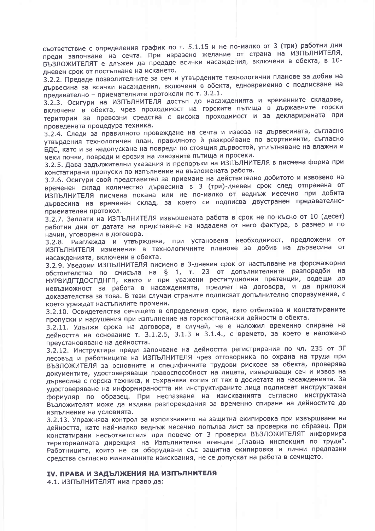съответствие с определения график по т. 5.1.15 и не пф-малко от 3 (три) работни дни преди започване на сечта. При изразено желание от страна на ИЗПЪЛНИТЕЛЯ, ВЪЗЛОЖИТЕЛЯТ е длъжен да предаде всички насаждения, включени в обекта, в 10дневен срок от постъпване на искането.

3.2.2. Предаде позволителните за сеч и утвърдените технологични планове за добив на дървесина за всички насаждения, включени в обекта, едновременно с подписване на предавателно - приемателните протоколи по т. 3.2.1.

3.2.3. Осигури на ИЗПЪЛНИТЕЛЯ достъп до насажденията и временните складове, включени в обекта, чрез проходимост на горските пътища в държавните горски територии за превозни средства с висока проходимост и за декларираната при проведената процедура техника.

3.2.4. Следи за правилното провеждане на сечта и извоза на дървесината, съгласно утвърдения технологичен план, правилното й разкройване по асортименти, съгласно БДС, като и за недопускане на повреди по стоящия дървостой, уплътняване на влажни и меки почви, повреди и ерозия на извозните пътища и просеки.

3.2.5. Дава задължителни указания и препоръки на ИЗПЪЛНИТЕЛЯ в писмена форма при констатирани пропуски по изпълнение на възложената работа.

3.2.6. Осигури свой представител за приемане на действително добитото и извозено на временен склад количество дървесина в 3 (три)-дневен срок след отправена от ИЗПЪЛНИТЕЛЯ писмена покана или не по-малко от веднъж месечно при добита дървесина на временен склад, за което се подписва двустранен предавателноприемателен протокол.

3.2.7. Заплати на ИЗПЪЛНИТЕЛЯ извършената работа в срок не по-късно от 10 (десет) работни дни от датата на представяне на издадена от него фактура, в размер и по начин, уговорени в договора.

3.2.8. Разглежда и утвърждава, при установена необходимост, предложени от ИЗПЪЛНИТЕЛЯ изменения в технологичните планове за добив на дървесина от насажденията, включени в обекта.

3.2.9. Уведоми ИЗПЪЛНИТЕЛЯ писмено в 3-дневен срок от настъпване на форсмажорни обстоятелства по смисъла на § 1, т. 23 от допълнителните разпоредби на НУРВИДГТДОСПДНГП, както и при уважени реституционни претенции, водещи до невъзможност за работа в насажденията, предмет на договора, и да приложи доказателства за това. В тези случаи страните подписват допълнително споразумение, с което уреждат настъпилите промени.

3.2.10. Освидетелства сечището в определения срок, като отбелязва и констатираните пропуски и нарушения при изпълнение на горскостопански дейности в обекта.

3.2.11. Удължи срока на договора, в случай, че е наложил временно спиране на дейността на основание т. 3.1.2.5, 3.1.3 и 3.1.4., с времето, за което е наложено преустановяване на дейността.

3.2.12. Инструктира преди започване на дейността регистрирания по чл. 235 от ЗГ лесовъд и работниците на ИЗПЪЛНИТЕЛЯ чрез отговорника по охрана на труда при ВЪЗЛОЖИТЕЛЯ за основните и специфичните трудови рискове за обекта, проверява документите, удостоверяващи правоспособност на лицата, извършващи сеч и извоз на дървесина с горска техника, и съхранява копия от тях в досиетата на насажденията. За удостоверяване на информираността им инструктираните лица подписват инструктажен формуляр по образец. При неспазване на изискванията съгласно инструктажа Възложителят може да издава разпореждания за временно спиране на дейностите до изпълнение на условията.

3.2.13. Упражнява контрол за използването на защитна екипировка при извършване на дейността, като най-малко веднъж месечно попълва лист за проверка по образец. При констатирани несъответствия при повече от 3 проверки ВЪЗЛОЖИТЕЛЯТ информира териториалната дирекция на Изпълнителна агенция "Главна инспекция по труда". Работниците, които не са оборудвани със защитна екипировка и лични предпазни средства съгласно минималните изисквания, не се допускат на работа в сечището.

# **IV. ПРАВА И ЗАДЪЛЖЕНИЯ НА ИЗПЪЛНИТЕЛЯ**

4.1. ИЗПЪЛНИТЕЛЯТ има право да: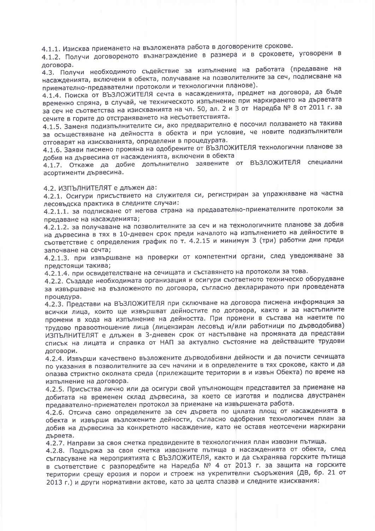4.1.1. Изисква приемането на възложената работа в договорените срокове.

4.1.2. Получи договореното възнаграждение в размера и в сроковете, уговорени в договора.

4.3. Получи необходимото съдействие за изпълнение на работата (предаване на насажденията, включени в обекта, получаване на позволителните за сеч, подписване на приемателно-предавателни протоколи и технологични планове).

4.1.4. Поиска от ВЪЗЛОЖИТЕЛЯ сечта в насажденията, предмет на договора, да бъде временно спряна, в случай, че техническото изпълнение при маркирането на дърветата за сеч не съответства на изискванията на чл. 50, ал. 2 и 3 от Наредба № 8 от 2011 г. за сечите в горите до отстраняването на несъответствията.

4.1.5. Заменя подизпълнителите си, ако предварително е посочил ползването на такива за осъществяване на дейността в обекта и при условие, че новите подизпълнители отговарят на изискванията, определени в процедурата.

4.1.6. Заяви писмено промяна на одобрените от ВЪЗЛОЖИТЕЛЯ технологични планове за добив на дървесина от насажденията, включени в обекта

4.1.7. Откаже да добие допълнително заявените от ВЪЗЛОЖИТЕЛЯ специални асортименти дървесина.

## 4.2. ИЗПЪЛНИТЕЛЯТ е длъжен да:

4.2.1. Осигури присъствието на служителя си, регистриран за упражняване на частна лесовъдска практика в следните случаи:

4.2.1.1. за подписване от негова страна на предавателно-приемателните протоколи за предаване на насажденията;

4.2.1.2. за получаване на позволителните за сеч и на технологичните планове за добив на дървесина в тях в 10-дневен срок преди началото на изпълнението на дейностите в съответствие с определения график по т. 4.2.15 и минимум 3 (три) работни дни преди започване на сечта:

4.2.1.3. при извършване на проверки от компетентни органи, след уведомяване за предстоящи такива;

4.2.1.4. при освидетелстване на сечищата и съставянето на протоколи за това.

4.2.2. Създаде необходимата организация и осигури съответното техническо оборудване за извършване на възложеното по договора, съгласно декларираното при проведената процедура.

4.2.3. Представи на ВЪЗЛОЖИТЕЛЯ при сключване на договора писмена информация за всички лица, които ще извършват дейностите по договора, както и за настъпилите промени в хода на изпълнение на дейността. При промени в състава на наетите по трудово правоотношение лица (лицензиран лесовъд и/или работници по дърводобива) ИЗПЪЛНИТЕЛЯТ е длъжен в 3-дневен срок от настъпване на промяната да представи списък на лицата и справка от НАП за актуално състояние на действащите трудови договори.

4.2.4. Извърши качествено възложените дърводобивни дейности и да почисти сечищата по указания в позволителните за сеч начини и в определените в тях срокове, както и да опазва стриктно околната среда (прилежащите територии в и извън Обекта) по време на изпълнение на договора.

4.2.5. Присъства лично или да осигури свой упълномощен представител за приемане на добитата на временен склад дървесина, за което се изготвя и подписва двустранен предавателно-приемателен протокол за приемане на извършената работа.

4.2.6. Отсича само определените за сеч дървета по цялата площ от насажденията в обекта и извърши възложените дейности, съгласно одобрения технологичен план за добив на дървесина за конкретното насаждение, като не оставя неотсечени маркирани дървета.

4.2.7. Направи за своя сметка предвидените в технологичния план извозни пътища.

4.2.8. Поддържа за своя сметка извозните пътища в насажденията от обекта, след съгласуване на мероприятията с ВЪЗЛОЖИТЕЛЯ, както и да съхранява горските пътища в съответствие с разпоредбите на Наредба № 4 от 2013 г. за защита на горските територии срещу ерозия и порои и строеж на укрепителни съоръжения (ДВ, бр. 21 от 2013 г.) и други нормативни актове, като за целта спазва и следните изисквания: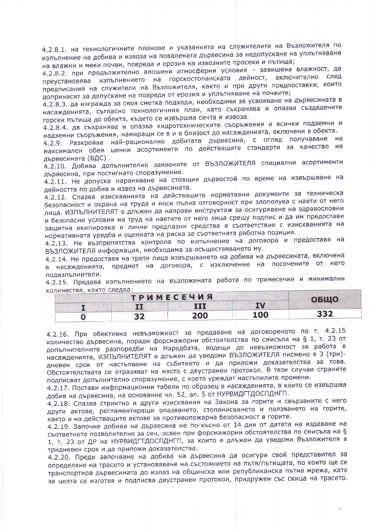4.2.8.1. на технологичните планове и указанията на служителите на Възложителя по изпълнение на добива и извоза на повалената дървесина за недопускане на уплътняване на влажни и меки почви, повреда и ерозия на извозните просеки и пътища;

4.2.8.2. при продължително влошени атмосферни условия - завишена влажност, да преустановява изпълнението на горскостопанската дейност, включително след предписания на служители на Възложителя, както и при други предпоставки, които допринасят за допускане на повреди от ерозия и уплътняване на почвите;

4.2.8.3. да изгражда за своя сметка подходи, необходими за усвояване на дървесината в насажденията, съгласно технологичния план, като съхранява и опазва създадените горски пътища до обекта, където се извършва сечта и извоза.

4.2.8.4. да съхранява и опазва хидротехническите съоръжения и всички подземни и надземни съоръжения, намиращи се в и в близост до насажденията, включени в обекта.

4.2.9. Разкройва най-рационално добитата дървесина, с оглед получаване на максимален обем ценни асортименти по действащите стандарти за качество на дървесината (БДС).

4.2.10. Добива допълнително заявените от ВЪЗЛОЖИТЕЛЯ специални асортименти дървесина, при постигнато споразумение.

4.2.11. Не допуска нараняване на стоящия дървостой по време на извършване на дейността по добив и извоз на дървесината.

4.2.12. Спазва изискванията на действащите нормативни документи за техническа безопасност и охрана на труда и носи пълна отговорност при злополука с наети от него лица. ИЗПЪЛНИТЕЛЯТ е длъжен да направи инструктаж за осигуряване на здравословни и безопасни условия на труд на наетите от него лица срещу подпис и да им предостави защитна екипировка и лични предпазни средства в съответствие с изискванията на нормативната уредба и оценката на риска за съответната работна позиция.

4.2.13. Не възпрепятства контрола по изпълнение на договора и предоставя на ВЪЗЛОЖИТЕЛЯ информация, необходима за осъществяването му.

4.2.14. Не предоставя на трети лица извършването на добива на дървесината, включена в насажденията, предмет на договора, с изключение на посочените от него полизпълнители.

4.2.15. Предава изпълнението на възложената работа по тримесечия и минимални количества, както следва:

|  | <b>TPUMECEЧИЯ</b> |           | <b>ОБЩО</b> |
|--|-------------------|-----------|-------------|
|  | III               | <b>IV</b> |             |
|  | 200               | 100       | 332         |

4.2.16. При обективна невъзможност за предаване на договореното по т. 4.2.15 количество дървесина, поради форсмажорни обстоятелства по смисъла на § 1, т. 23 от допълнителните разпоредби на Наредбата, водещи до невъзможност за работа в насажденията, ИЗПЪЛНИТЕЛЯТ е длъжен да уведоми ВЪЗЛОЖИТЕЛЯ писмено в 3 (три)дневен срок от настъпване на събитието и да приложи доказателства за това. Обстоятелствата се отразяват на място с двустранен протокол. В тези случаи страните подписват допълнително споразумение, с което уреждат настъпилите промени.

4.2.17. Постави информационни табели по образец в насажденията, в които се извършва добив на дървесина, на основание чл. 52, ал. 5 от НУРВИДГТДОСПДНГП.

4.2.18. Спазва стриктно и други изисквания на Закона за горите и свързаните с него други актове, регламентиращи опазването, стопанисването и ползването на горите, както и на действащите актове за противопожарна безопасност в горите.

4.2.19. Започне добива на дървесина не по-късно от 14 дни от датата на издаване на съответното позволително за сеч, освен при форсмажорни обстоятелства по смисъла на § 1, т. 23 от ДР на НУРВИДГТДОСПДНГП, за които е длъжен да уведоми Възложителя в тридневен срок и да приложи доказателства.

4.2.20. Преди започване на добива на дървесина да осигури свой представител за определяне на трасето и установяване на състоянието на пътя/пътищата, по които ще се транспортира дървесината до излаз на общинска или републиканска пътна мрежа, като за целта се изготвя и подписва двустранен протокол, придружен със скица на трасето.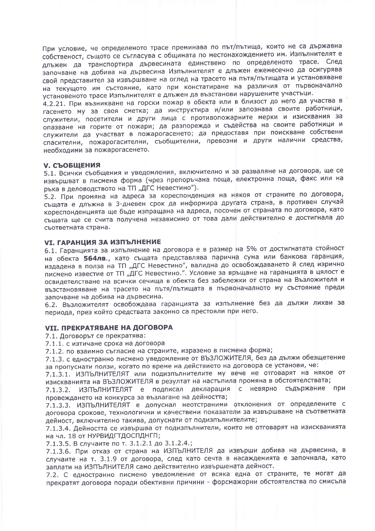При условие, че определеното трасе преминава по път/пътища, които не са държавна собственост, същото се съгласува с общината по местонахождението им. Изпълнителят е длъжен да транспортира дървесината единствено по определеното трасе. След започване на добива на дървесина Изпълнителят е длъжен ежемесечно да осигурява свой представител за извършване на оглед на трасето на пътя/пътищата и установяване на текущото им състояние, като при констатиране на различия от първоначално установеното трасе Изпълнителят е длъжен да възстанови нарушените участъци.

4.2.21. При възникване на горски пожар в обекта или в близост до него да участва в гасенето му за своя сметка; да инструктира и/или запознава своите работници, служители, посетители и други лица с противопожарните мерки и изисквания за опазване на горите от пожари; да разпорежда и съдейства на своите работници и служители да участват в пожарогасенето; да предоставя при поискване собствени спасителни, пожарогасителни, съобщителни, превозни и други налични средства, необходими за пожарогасенето.

#### **V. СЪОБЩЕНИЯ**

5.1. Всички съобщения и уведомления, включително и за разваляне на договора, ще се извършват в писмена форма (чрез препоръчана поща, електронна поща, факс или на ръка в деловодството на ТП "ДГС Невестино").

5.2. При промяна на адреса за кореспонденция на някоя от страните по договора, същата е длъжна в 3-дневен срок да информира другата страна, в противен случай кореспонденцията ще бъде изпращана на адреса, посочен от страната по договора, като същата ще се счита получена независимо от това дали действително е достигнала до съответната страна.

#### **VI. ГАРАНЦИЯ ЗА ИЗПЪЛНЕНИЕ**

6.1. Гаранцията за изпълнение на договора е в размер на 5% от достигнатата стойност на обекта 564лв., като същата представлява парична сума или банкова гаранция, издадена в полза на ТП "ДГС Невестино", валидна до освобождаването й след изрично писмено известие от ТП "ДГС Невестино.". Условие за връщане на гаранцията в цялост е освидетелстване на всички сечища в обекта без забележки от страна на Възложителя и възстановяване на трасето на пътя/пътищата в първоначалното му състояние преди започване на добива на дървесина.

6.2. Възложителят освобождава гаранцията за изпълнение без да дължи лихви за периода, през който средствата законно са престояли при него.

## **VII. ПРЕКРАТЯВАНЕ НА ДОГОВОРА**

7.1. Договорът се прекратява:

7.1.1. с изтичане срока на договора

7.1.2. по взаимно съгласие на страните, изразено в писмена форма;

7.1.3. с едностранно писмено уведомление от ВЪЗЛОЖИТЕЛЯ, без да дължи обезщетение за пропуснати ползи, когато по време на действието на договора се установи, че:

7.1.3.1. ИЗПЪЛНИТЕЛЯТ или подизпълнителите му вече не отговарят на някое от изискванията на ВЪЗЛОЖИТЕЛЯ в резултат на настъпила промяна в обстоятелствата;

7.1.3.2. ИЗПЪЛНИТЕЛЯТ е подписал декларация с невярно съдържание при провеждането на конкурса за възлагане на дейността;

7.1.3.3. ИЗПЪЛНИТЕЛЯТ е допуснал неотстраними отклонения от определените с договора срокове, технологични и качествени показатели за извършване на съответната дейност, включително такива, допуснати от подизпълнителите;

7.1.3.4. Дейността се извършва от подизпълнители, които не отговарят на изискванията на чл. 18 от НУРВИДГТДОСПДНГП;

7.1.3.5. В случаите по т. 3.1.2.1 до 3.1.2.4.;

7.1.3.6. При отказ от страна на ИЗПЪЛНИТЕЛЯ да извърши добива на дървесина, в случаите на т. 3.1.9 от договора, след като сечта в насажденията е започнала, като заплати на ИЗПЪЛНИТЕЛЯ само действително извършената дейност.

7.2. С едностранно писмено уведомление от всяка една от страните, те могат да прекратят договора поради обективни причини - форсмажорни обстоятелства по смисъла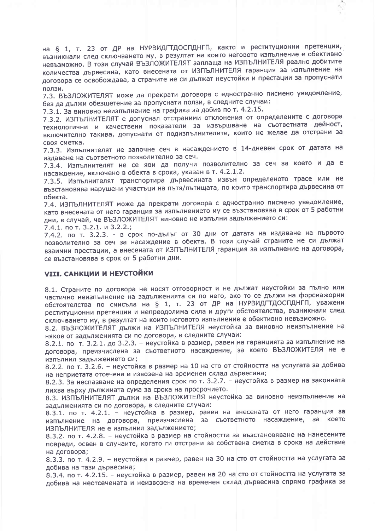на § 1, т. 23 от ДР на НУРВИДГТДОСПДНГП, както и реституционни претенции, възникнали след сключването му, в резултат на които неговото изпълнение е обективно невъзможно. В този случай ВЪЗЛОЖИТЕЛЯТ заплаща на ИЗПЪЛНИТЕЛЯ реално добитите количества дървесина, като внесената от ИЗПЪЛНИТЕЛЯ гаранция за изпълнение на договора се освобождава, а страните не си дължат неустойки и престации за пропуснати ползи.

7.3. ВЪЗЛОЖИТЕЛЯТ може да прекрати договора с едностранно писмено уведомление, без да дължи обезщетение за пропуснати ползи, в следните случаи:

7.3.1. За виновно неизпълнение на графика за добив по т. 4.2.15.

7.3.2. ИЗПЪЛНИТЕЛЯТ е допуснал отстраними отклонения от определените с договора технологични и качествени показатели за извършване на съответната дейност, включително такива, допуснати от подизпълнителите, които не желае да отстрани за своя сметка.

7.3.3. Изпълнителят не започне сеч в насаждението в 14-дневен срок от датата на издаване на съответното позволително за сеч.

7.3.4. Изпълнителят не се яви да получи позволително за сеч за което и да е насаждение, включено в обекта в срока, указан в т. 4.2.1.2.

7.3.5. Изпълнителят транспортира дървесината извън определеното трасе или не възстановява нарушени участъци на пътя/пътищата, по които транспортира дървесина от обекта.

7.4. ИЗПЪЛНИТЕЛЯТ може да прекрати договора с едностранно писмено уведомление, като внесената от него гаранция за изпълнението му се възстановява в срок от 5 работни дни, в случай, че ВЪЗЛОЖИТЕЛЯТ виновно не изпълни задължението си:

7.4.1. по т. 3.2.1. и 3.2.2.;

7.4.2. по т. 3.2.3. - в срок по-дълъг от 30 дни от датата на издаване на първото позволително за сеч за насаждение в обекта. В този случай страните не си дължат взаимни престации, а внесената от ИЗПЪЛНИТЕЛЯ гаранция за изпълнение на договора, се възстановява в срок от 5 работни дни.

## **VIII. САНКЦИИ И НЕУСТОЙКИ**

8.1. Страните по договора не носят отговорност и не дължат неустойки за пълно или частично неизпълнение на задълженията си по него, ако то се дължи на форсмажорни обстоятелства по смисъла на § 1, т. 23 от ДР на НУРВИДПТДОСПДНГП, уважени реституционни претенции и непреодолима сила и други обстоятелства, възникнали след сключването му, в резултат на които неговото изпълнение е обективно невъзможно.

8.2. ВЪЗЛОЖИТЕЛЯТ дължи на ИЗПЪЛНИТЕЛЯ неустойка за виновно неизпълнение на някое от задълженията си по договора, в следните случаи:

8.2.1. по т. 3.2.1. до 3.2.3. - неустойка в размер, равен на гаранцията за изпълнение на договора, преизчислена за съответното насаждение, за което ВЪЗЛОЖИТЕЛЯ не е изпълнил задължението си;

8.2.2. по т. 3.2.6. - неустойка в размер на 10 на сто от стойността на услугата за добива на неприетата отсечена и извозена на временен склад дървесина;

8.2.3. За неспазване на определения срок по т. 3.2.7. - неустойка в размер на законната лихва върху дължимата сума за срока на просрочието.

8.3. ИЗПЪЛНИТЕЛЯТ дължи на ВЪЗЛОЖИТЕЛЯ неустойка за виновно неизпълнение на задълженията си по договора, в следните случаи:

8.3.1. по т. 4.2.1. - неустойка в размер, равен на внесената от него гаранция за изпълнение на договора, преизчислена за съответното насаждение, за което ИЗПЪЛНИТЕЛЯ не е изпълнил задължението;

8.3.2. по т. 4.2.8. - неустойка в размер на стойността за възстановяване на нанесените повреди, освен в случаите, когато ги отстрани за собствена сметка в срока на действие на договора;

8.3.3. по т. 4.2.9. - неустойка в размер, равен на 30 на сто от стойността на услугата за добива на тази дървесина;

8.3.4. по т. 4.2.15. - неустойка в размер, равен на 20 на сто от стойността на услугата за добива на неотсечената и неизвозена на временен склад дървесина спрямо графика за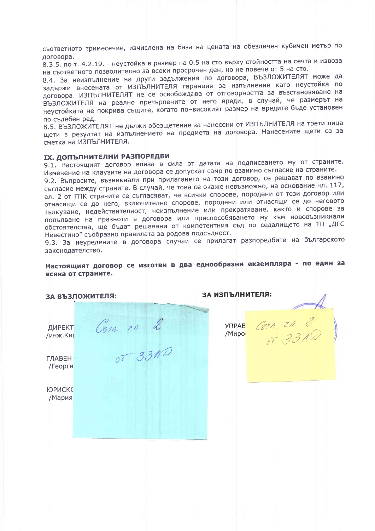съответното тримесечие, изчислена на база на цената на обезличен кубичен метър по договора.

..<br>8.3.5. по т. 4.2.19. - неустойка в размер на 0.5 на сто върху стойността на сечта и извоза на съответното позволително за всеки просрочен ден, но не повече от 5 на сто.

8.4. За неизпълнение на други задължения по договора, ВЪЗЛОЖИТЕЛЯТ може да задържи внесената от ИЗПЪЛНИТЕЛЯ гаранция за изпълнение като неустойка по договора. ИЗПЪЛНИТЕЛЯТ не се освобождава от отговорността за възстановяване на ВЪЗЛОЖИТЕЛЯ на реално претърпените от него вреди, в случай, че размерът на неустойката не покрива същите, когато по-високият размер на вредите бъде установен по съдебен ред.

8.5. ВЪЗЛОЖИТЕЛЯТ не дължи обезщетение за нанесени от ИЗПЪЛНИТЕЛЯ на трети лица щети в резултат на изпълнението на предмета на договора. Нанесените щети са за сметка на ИЗПЪЛНИТЕЛЯ.

## **IX. ДОПЪЛНИТЕЛНИ РАЗПОРЕДБИ**

9.1. Настоящият договор влиза в сила от датата на подписването му от страните. Изменение на клаузите на договора се допускат само по взаимно съгласие на страните.

9.2. Въпросите, възникнали при прилагането на този договор, се решават по взаимно съгласие между страните. В случай, че това се окаже невъзможно, на основание чл. 117, ал. 2 от ГПК страните се съгласяват, че всички спорове, породени от този договор или отнасящи се до него, включително спорове, породени или отнасящи се до неговото тълкуване, недействителност, неизпълнение или прекратяване, както и спорове за попълване на празноти в договора или приспособяването му към нововъзникнали обстоятелства, ще бъдат решавани от компетентния съд по седалището на ТП "ДГС Невестино" съобразно правилата за родова подсъдност.

9.3. За неуредените в договора случаи се прилагат разпоредбите на българското законодателство.

Настоящият договор се изготви в два еднообразни екземпляра - по един за всяка от страните.

ЗА ИЗПЪЛНИТЕЛЯ: ЗА ВЪЗЛОЖИТЕЛЯ:  $Gen 2n 2$ Com. 20. 2 **YNPAB** ДИРЕКТ /Миро /инж.Киг **ГЛАВЕН** /Георги **ЮРИСКС** /Мария